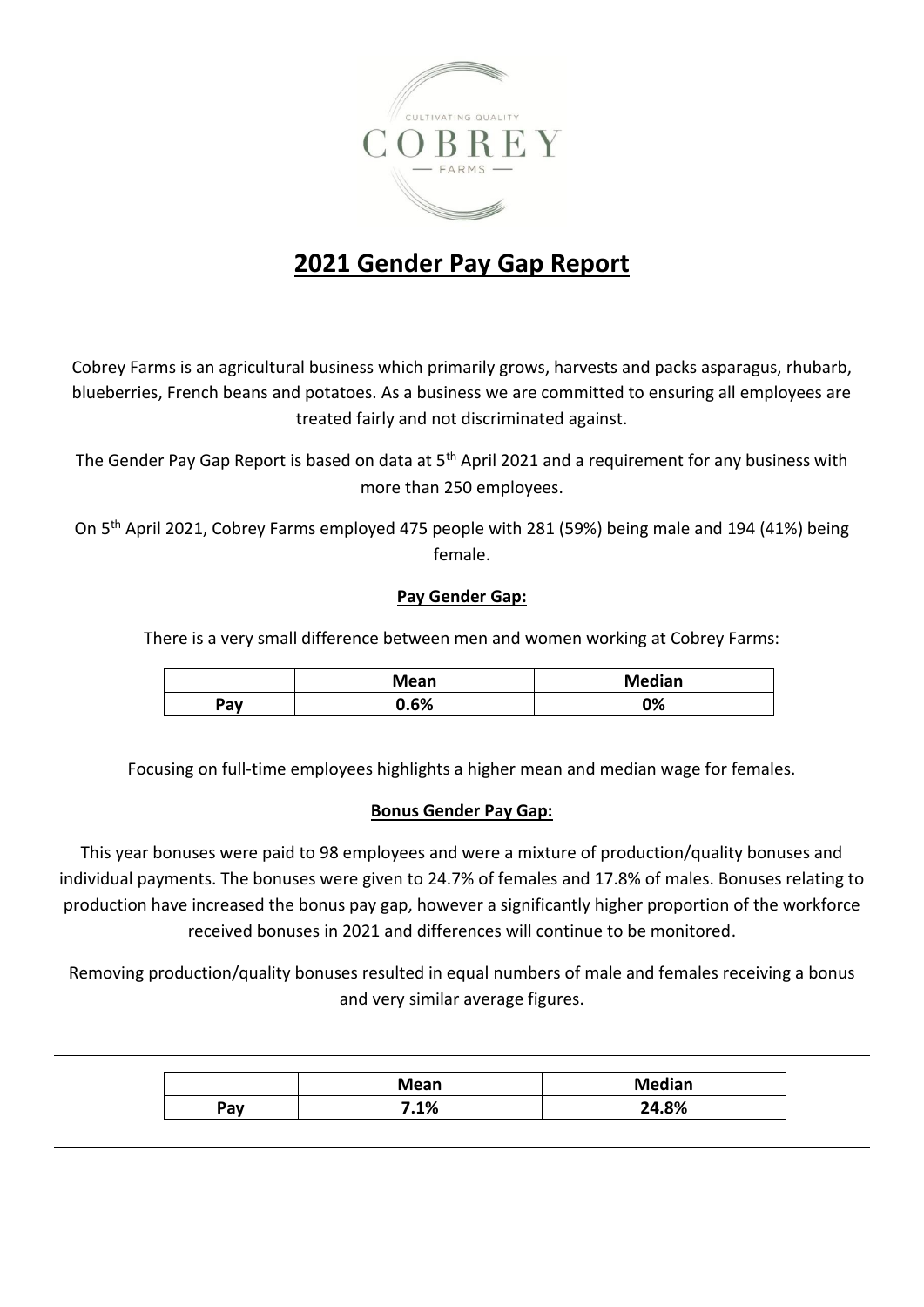

## **2021 Gender Pay Gap Report**

Cobrey Farms is an agricultural business which primarily grows, harvests and packs asparagus, rhubarb, blueberries, French beans and potatoes. As a business we are committed to ensuring all employees are treated fairly and not discriminated against.

The Gender Pay Gap Report is based on data at 5<sup>th</sup> April 2021 and a requirement for any business with more than 250 employees.

On 5th April 2021, Cobrey Farms employed 475 people with 281 (59%) being male and 194 (41%) being female.

## **Pay Gender Gap:**

There is a very small difference between men and women working at Cobrey Farms:

|     | Mean | <b>Median</b> |
|-----|------|---------------|
| Pay | 0.6% | 0%            |

Focusing on full-time employees highlights a higher mean and median wage for females.

## **Bonus Gender Pay Gap:**

This year bonuses were paid to 98 employees and were a mixture of production/quality bonuses and individual payments. The bonuses were given to 24.7% of females and 17.8% of males. Bonuses relating to production have increased the bonus pay gap, however a significantly higher proportion of the workforce received bonuses in 2021 and differences will continue to be monitored.

Removing production/quality bonuses resulted in equal numbers of male and females receiving a bonus and very similar average figures.

|     | <b>Mean</b> | <b>Median</b>  |
|-----|-------------|----------------|
| יav | .1%         | O <sub>0</sub> |